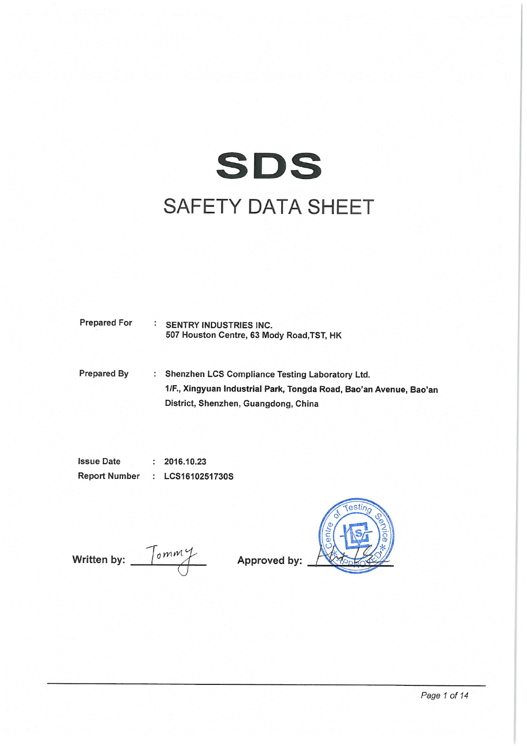

**Prepared For** : SENTRY INDUSTRIES INC. 507 Houston Centre, 63 Mody Road, TST, HK

**Prepared By** : Shenzhen LCS Compliance Testing Laboratory Ltd. 1/F., Xingyuan Industrial Park, Tongda Road, Bao'an Avenue, Bao'an District, Shenzhen, Guangdong, China

**Issue Date**  $: 2016.10.23$ **Report Number** : LCS1610251730S

Written by:  $\frac{7 \text{ cm}}{4}$ 

Approved by:

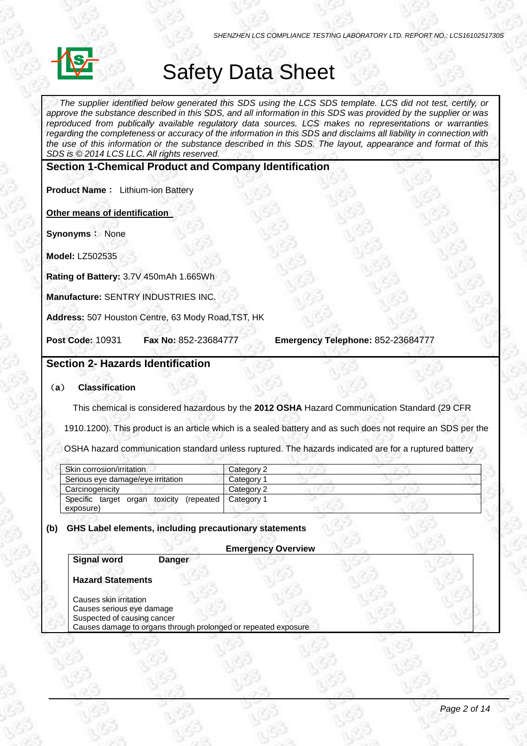

# Safety Data Sheet

The supplier identified below generated this SDS using the LCS SDS template. LCS did not test, certify, or approve the substance described in this SDS, and all information in this SDS was provided by the supplier or was *reproduced from publically available regulatory data sources. LCS makes no representations or warranties* regarding the completeness or accuracy of the information in this SDS and disclaims all liability in connection with the use of this information or the substance described in this SDS. The layout, appearance and format of this *SDS is © 2014 LCS LLC. All rights reserved.*

# **Section 1-Chemical Product and Company Identification**

**Product Name**: Lithium-ion Battery

**Other means of identification** 

**Synonyms**: None

**Model:** LZ502535

**Rating of Battery:** 3.7V 450mAh 1.665Wh

**Manufacture:** SENTRY INDUSTRIES INC.

**Address:** 507 Houston Centre, 63 Mody Road,TST, HK

**Post Code:** 10931 **Fax No:** 852-23684777 **Emergency Telephone:** 852-23684777

# **Section 2- Hazards Identification**

## (**a**) **Classification**

This chemical is considered hazardous by the **2012 OSHA** Hazard Communication Standard (29 CFR

1910.1200). This product is an article which is a sealed battery and as such does not require an SDS per the

OSHA hazard communication standard unless ruptured. The hazards indicated are for a ruptured battery

| Skin corrosion/irritation                              | Category 2 |  |
|--------------------------------------------------------|------------|--|
| Serious eye damage/eye irritation                      | Category 1 |  |
| Carcinogenicity                                        | Category 2 |  |
| Specific target organ toxicity (repeated)<br>exposure) | Category 1 |  |

## **(b) GHS Label elements, including precautionary statements**

## **Emergency Overview**

# **Signal word Danger**

# **Hazard Statements**

Causes skin irritation Causes serious eye damage Suspected of causing cancer Causes damage to organs through prolonged or repeated exposure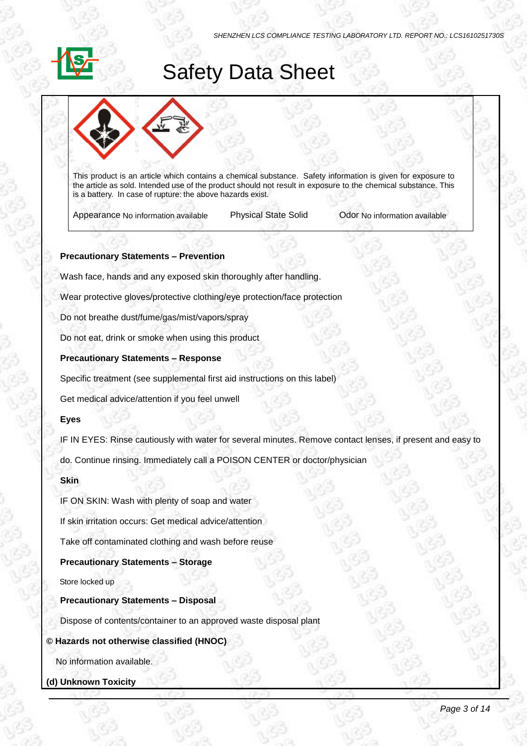# Safety Data Sheet



This product is an article which contains a chemical substance. Safety information is given for exposure to the article as sold. Intended use of the product should not result in exposure to the chemical substance. This is a battery. In case of rupture: the above hazards exist.

Appearance No information available Physical State Solid Odor No information available

# **Precautionary Statements – Prevention**

Wash face, hands and any exposed skin thoroughly after handling.

Wear protective gloves/protective clothing/eye protection/face protection

Do not breathe dust/fume/gas/mist/vapors/spray

Do not eat, drink or smoke when using this product

# **Precautionary Statements – Response**

Specific treatment (see supplemental first aid instructions on this label)

Get medical advice/attention if you feel unwell

# **Eyes**

IF IN EYES: Rinse cautiously with water for several minutes. Remove contact lenses, if present and easy to

do. Continue rinsing. Immediately call a POISON CENTER or doctor/physician

# **Skin**

IF ON SKIN: Wash with plenty of soap and water

If skin irritation occurs: Get medical advice/attention

Take off contaminated clothing and wash before reuse

# **Precautionary Statements – Storage**

Store locked up

# **Precautionary Statements – Disposal**

Dispose of contents/container to an approved waste disposal plant

# **© Hazards not otherwise classified (HNOC)**

No information available.

**(d) Unknown Toxicity**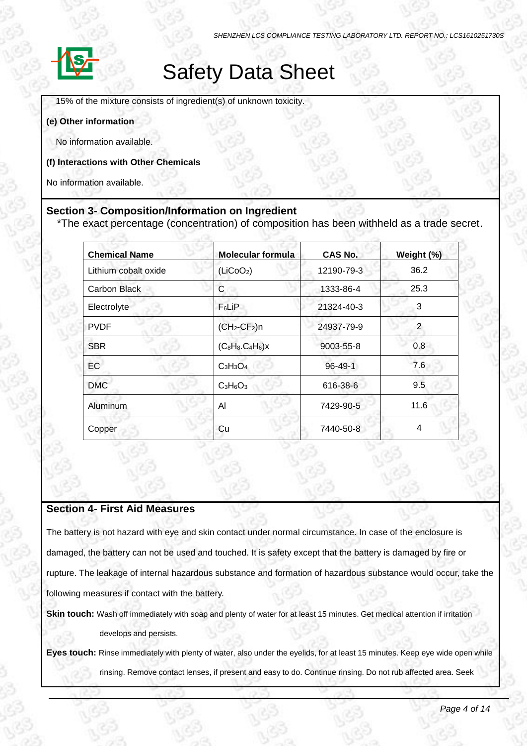

# Safety Data Sheet

15% of the mixture consists of ingredient(s) of unknown toxicity.

### **(e) Other information**

No information available.

**(f) Interactions with Other Chemicals**

No information available.

# **Section 3- Composition/Information on Ingredient**

\*The exact percentage (concentration) of composition has been withheld as a trade secret.

| <b>Chemical Name</b> | <b>Molecular formula</b> | <b>CAS No.</b> | Weight (%) |
|----------------------|--------------------------|----------------|------------|
| Lithium cobalt oxide | (LiCoO <sub>2</sub> )    | 12190-79-3     | 36.2       |
| Carbon Black         | C                        | 1333-86-4      | 25.3       |
| Electrolyte          | $F_6$ LiP                | 21324-40-3     | 3          |
| <b>PVDF</b>          | $(CH2-CF2)n$             | 24937-79-9     | 2          |
| <b>SBR</b>           | $(C_8H_8.C_4H_6)x$       | 9003-55-8      | 0.8        |
| <b>EC</b>            | $C_3H_3O_4$              | $96 - 49 - 1$  | 7.6        |
| <b>DMC</b>           | $C_3H_6O_3$              | 616-38-6       | 9.5        |
| <b>Aluminum</b>      | Al                       | 7429-90-5      | 11.6       |
| Copper               | Cu                       | 7440-50-8      | 4          |

# **Section 4- First Aid Measures**

The battery is not hazard with eye and skin contact under normal circumstance. In case of the enclosure is damaged, the battery can not be used and touched. It is safety except that the battery is damaged by fire or rupture. The leakage of internal hazardous substance and formation of hazardous substance would occur, take the following measures if contact with the battery.

**Skin touch:** Wash off immediately with soap and plenty of water for at least 15 minutes. Get medical attention if irritation develops and persists.

**Eyes touch:** Rinse immediately with plenty of water, also under the eyelids, for at least 15 minutes. Keep eye wide open while rinsing. Remove contact lenses, if present and easy to do. Continue rinsing. Do not rub affected area. Seek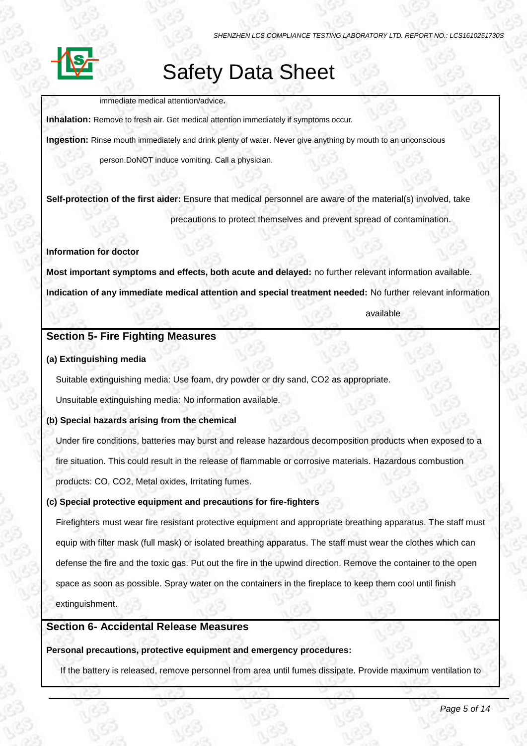# Safety Data Sheet

immediate medical attention/advice**.**

**Inhalation:** Remove to fresh air. Get medical attention immediately if symptoms occur.

**Ingestion:** Rinse mouth immediately and drink plenty of water. Never give anything by mouth to an unconscious

person.DoNOT induce vomiting. Call a physician.

**Self-protection of the first aider:** Ensure that medical personnel are aware of the material(s) involved, take

precautions to protect themselves and prevent spread of contamination.

# **Information for doctor**

**Most important symptoms and effects, both acute and delayed:** no further relevant information available. **Indication of any immediate medical attention and special treatment needed:** No further relevant information

available

# **Section 5- Fire Fighting Measures**

# **(a) Extinguishing media**

Suitable extinguishing media: Use foam, dry powder or dry sand, CO2 as appropriate.

Unsuitable extinguishing media: No information available.

# **(b) Special hazards arising from the chemical**

Under fire conditions, batteries may burst and release hazardous decomposition products when exposed to a fire situation. This could result in the release of flammable or corrosive materials. Hazardous combustion products: CO, CO2, Metal oxides, Irritating fumes.

# **(c) Special protective equipment and precautions for fire-fighters**

Firefighters must wear fire resistant protective equipment and appropriate breathing apparatus. The staff must equip with filter mask (full mask) or isolated breathing apparatus. The staff must wear the clothes which can defense the fire and the toxic gas. Put out the fire in the upwind direction. Remove the container to the open space as soon as possible. Spray water on the containers in the fireplace to keep them cool until finish

extinguishment.

# **Section 6- Accidental Release Measures**

# **Personal precautions, protective equipment and emergency procedures:**

If the battery is released, remove personnel from area until fumes dissipate. Provide maximum ventilation to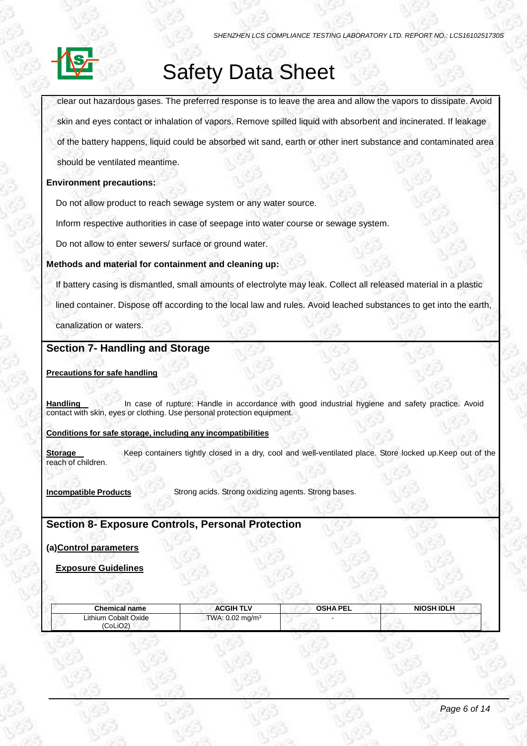

# Safety Data Sheet

clear out hazardous gases. The preferred response is to leave the area and allow the vapors to dissipate. Avoid skin and eyes contact or inhalation of vapors. Remove spilled liquid with absorbent and incinerated. If leakage of the battery happens, liquid could be absorbed wit sand, earth or other inert substance and contaminated area should be ventilated meantime.

## **Environment precautions:**

Do not allow product to reach sewage system or any water source.

Inform respective authorities in case of seepage into water course or sewage system.

Do not allow to enter sewers/ surface or ground water.

### **Methods and material for containment and cleaning up:**

If battery casing is dismantled, small amounts of electrolyte may leak. Collect all released material in a plastic

lined container. Dispose off according to the local law and rules. Avoid leached substances to get into the earth,

canalization or waters.

# **Section 7- Handling and Storage**

### **Precautions for safe handling**

Handling **In case of rupture: Handle in accordance with good industrial hygiene and safety practice. Avoid** contact with skin, eyes or clothing. Use personal protection equipment.

### **Conditions for safe storage, including any incompatibilities**

**Storage** Keep containers tightly closed in a dry, cool and well-ventilated place. Store locked up.Keep out of the reach of children.

**Incompatible Products** Strong acids. Strong oxidizing agents. Strong bases.

# **Section 8- Exposure Controls, Personal Protection**

# **(a)Control parameters**

## **Exposure Guidelines**

12190-79

| Chemical name                    | <b>ACGIH TLV</b>           | <b>OSHA PEL</b> | <b>NIOSH IDLH</b> |
|----------------------------------|----------------------------|-----------------|-------------------|
| Lithium Cobalt Oxide<br>(CoLiO2) | TWA: $0.02 \text{ mg/m}^3$ |                 |                   |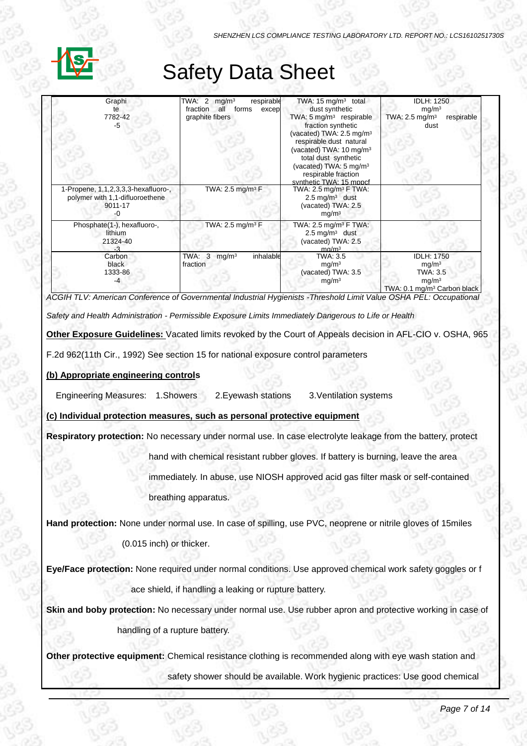# Safety Data Sheet

| Graphi<br>7782-42<br>-5                                                           | TWA: $2 \text{ mg/m}^3$<br>respirable<br>all forms<br>fraction<br>excep<br>graphite fibers | TWA: $15 \text{ mg/m}^3$ total<br>dust synthetic<br>TWA: 5 mg/m <sup>3</sup> respirable<br>fraction synthetic<br>(vacated) TWA: $2.5 \text{ mg/m}^3$<br>respirable dust natural<br>(vacated) TWA: 10 mg/m <sup>3</sup><br>total dust synthetic<br>(vacated) TWA: 5 mg/m <sup>3</sup><br>respirable fraction<br>synthetic TWA: 15 mppcf | <b>IDLH: 1250</b><br>mg/m <sup>3</sup><br>TWA: $2.5 \text{ mg/m}^3$<br>respirable<br>dust                          |
|-----------------------------------------------------------------------------------|--------------------------------------------------------------------------------------------|----------------------------------------------------------------------------------------------------------------------------------------------------------------------------------------------------------------------------------------------------------------------------------------------------------------------------------------|--------------------------------------------------------------------------------------------------------------------|
| 1-Propene, 1,1,2,3,3,3-hexafluoro-,<br>polymer with 1,1-difluoroethene<br>9011-17 | TWA: 2.5 mg/m <sup>3</sup> $F$                                                             | TWA: 2.5 mg/m <sup>3</sup> F TWA:<br>$2.5 \text{ mg/m}^3$ dust<br>(vacated) TWA: 2.5<br>mg/m <sup>3</sup>                                                                                                                                                                                                                              |                                                                                                                    |
| Phosphate(1-), hexafluoro-,<br>lithium<br>21324-40                                | TWA: $2.5$ mg/m <sup>3</sup> F                                                             | TWA: 2.5 mg/m <sup>3</sup> F TWA:<br>$2.5 \text{ mg/m}^3$ dust<br>(vacated) TWA: 2.5<br>ma/m <sup>3</sup>                                                                                                                                                                                                                              |                                                                                                                    |
| Carbon<br>black<br>1333-86<br>-4                                                  | TWA: $3 \text{ mg/m}^3$<br>inhalable<br>fraction                                           | TWA: 3.5<br>mg/m <sup>3</sup><br>(vacated) TWA: 3.5<br>mg/m <sup>3</sup>                                                                                                                                                                                                                                                               | <b>IDLH: 1750</b><br>mg/m <sup>3</sup><br>TWA: 3.5<br>mg/m <sup>3</sup><br>TWA: 0.1 mg/m <sup>3</sup> Carbon black |

in presence of Polycyclic *ACGIH TLV: American Conference of Governmental Industrial Hygienists -Threshold Limit Value OSHA PEL: Occupational* 

*Safety and Health Administration - Permissible Exposure Limits Immediately Dangerous to Life or Health*

**Other Exposure Guidelines:** Vacated limits revoked by the Court of Appeals decision in AFL-CIO v. OSHA, 965

F.2d 962(11th Cir., 1992) See section 15 for national exposure control parameters

# **(b) Appropriate engineering controls**

Engineering Measures: 1.Showers 2.Eyewash stations 3.Ventilation systems

**(c) Individual protection measures, such as personal protective equipment**

**Respiratory protection:** No necessary under normal use. In case electrolyte leakage from the battery, protect

hand with chemical resistant rubber gloves. If battery is burning, leave the area

immediately. In abuse, use NIOSH approved acid gas filter mask or self-contained

breathing apparatus.

**Hand protection:** None under normal use. In case of spilling, use PVC, neoprene or nitrile gloves of 15miles

(0.015 inch) or thicker.

**Eye/Face protection:** None required under normal conditions. Use approved chemical work safety goggles or f ace shield, if handling a leaking or rupture battery.

**Skin and boby protection:** No necessary under normal use. Use rubber apron and protective working in case of

handling of a rupture battery.

**Other protective equipment:** Chemical resistance clothing is recommended along with eye wash station and

safety shower should be available. Work hygienic practices: Use good chemical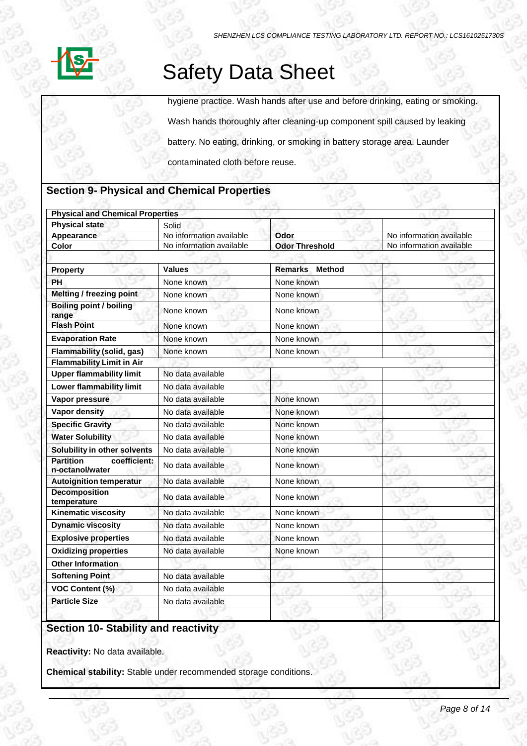

# Safety Data Sheet

hygiene practice. Wash hands after use and before drinking, eating or smoking.

Wash hands thoroughly after cleaning-up component spill caused by leaking

battery. No eating, drinking, or smoking in battery storage area. Launder

contaminated cloth before reuse.

# **Section 9- Physical and Chemical Properties**

| <b>Physical and Chemical Properties</b>             |                          |                                 |                          |
|-----------------------------------------------------|--------------------------|---------------------------------|--------------------------|
| <b>Physical state</b>                               | Solid                    |                                 |                          |
| Appearance                                          | No information available | Odor                            | No information available |
| Color                                               | No information available | <b>Odor Threshold</b>           | No information available |
|                                                     |                          |                                 |                          |
| <b>Property</b>                                     | <b>Values</b>            | <b>Remarks</b><br><b>Method</b> |                          |
| PH                                                  | None known               | None known                      |                          |
| <b>Melting / freezing point</b>                     | None known               | None known                      |                          |
| <b>Boiling point / boiling</b><br>range             | None known               | None known                      |                          |
| <b>Flash Point</b>                                  | None known               | None known                      |                          |
| <b>Evaporation Rate</b>                             | None known               | None known                      |                          |
| <b>Flammability (solid, gas)</b>                    | None known               | None known                      |                          |
| <b>Flammability Limit in Air</b>                    |                          |                                 |                          |
| <b>Upper flammability limit</b>                     | No data available        |                                 |                          |
| <b>Lower flammability limit</b>                     | No data available        |                                 |                          |
| Vapor pressure                                      | No data available        | None known                      |                          |
| <b>Vapor density</b>                                | No data available        | None known                      |                          |
| <b>Specific Gravity</b>                             | No data available        | None known                      |                          |
| <b>Water Solubility</b>                             | No data available        | None known                      |                          |
| Solubility in other solvents                        | No data available        | None known                      |                          |
| <b>Partition</b><br>coefficient:<br>n-octanol/water | No data available        | None known                      |                          |
| <b>Autoignition temperatur</b>                      | No data available        | None known                      |                          |
| <b>Decomposition</b><br>temperature                 | No data available        | None known                      |                          |
| <b>Kinematic viscosity</b>                          | No data available        | None known                      |                          |
| <b>Dynamic viscosity</b>                            | No data available        | None known                      |                          |
| <b>Explosive properties</b>                         | No data available        | None known                      |                          |
| <b>Oxidizing properties</b>                         | No data available        | None known                      |                          |
| <b>Other Information</b>                            |                          |                                 |                          |
| <b>Softening Point</b>                              | No data available        |                                 |                          |
| <b>VOC Content (%)</b>                              | No data available        |                                 |                          |
| <b>Particle Size</b>                                | No data available        |                                 |                          |
|                                                     |                          |                                 |                          |

# **Section 10- Stability and reactivity**

**Reactivity:** No data available.

**Chemical stability:** Stable under recommended storage conditions.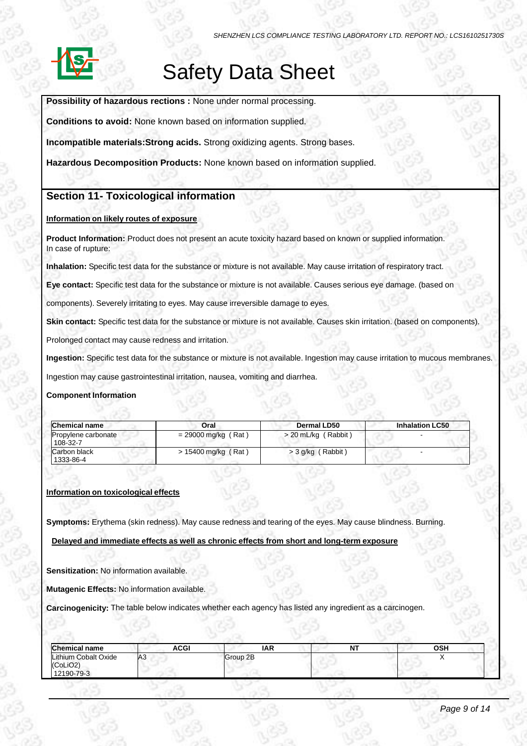

# Safety Data Sheet

**Possibility of hazardous rections :** None under normal processing.

**Conditions to avoid:** None known based on information supplied.

**Incompatible materials:Strong acids.** Strong oxidizing agents. Strong bases.

**Hazardous Decomposition Products:** None known based on information supplied.

# **Section 11- Toxicological information**

### **Information on likely routes of exposure**

**Product Information:** Product does not present an acute toxicity hazard based on known or supplied information. In case of rupture:

**Inhalation:** Specific test data for the substance or mixture is not available. May cause irritation of respiratory tract.

**Eye contact:** Specific test data for the substance or mixture is not available. Causes serious eye damage. (based on

components). Severely irritating to eyes. May cause irreversible damage to eyes.

**Skin contact:** Specific test data for the substance or mixture is not available. Causes skin irritation. (based on components).

Prolonged contact may cause redness and irritation.

**Ingestion:** Specific test data for the substance or mixture is not available. Ingestion may cause irritation to mucous membranes.

Ingestion may cause gastrointestinal irritation, nausea, vomiting and diarrhea.

### **Component Information**

| <b>Chemical name</b>            | Oral                  | Dermal LD50           | <b>Inhalation LC50</b> |
|---------------------------------|-----------------------|-----------------------|------------------------|
| Propylene carbonate<br>108 32 7 | $= 29000$ mg/kg (Rat) | $>$ 20 mL/kg (Rabbit) |                        |
| Carbon black<br>1333-86-4       | $> 15400$ mg/kg (Rat) | $>$ 3 g/kg (Rabbit)   |                        |

### **Information on toxicological effects**

**Symptoms:** Erythema (skin redness). May cause redness and tearing of the eyes. May cause blindness. Burning.

### **Delayed and immediate effects as well as chronic effects from short and long-term exposure**

**Sensitization:** No information available.

**Mutagenic Effects:** No information available.

**Carcinogenicity:** The table below indicates whether each agency has listed any ingredient as a carcinogen.

| <b>Chemical name</b>                           | ACGI            | IAR      | .<br>. . | OSH |
|------------------------------------------------|-----------------|----------|----------|-----|
| Lithium Cobalt Oxide<br>(CoLiO2)<br>12190-79-3 | IA <sub>3</sub> | Group 2B |          |     |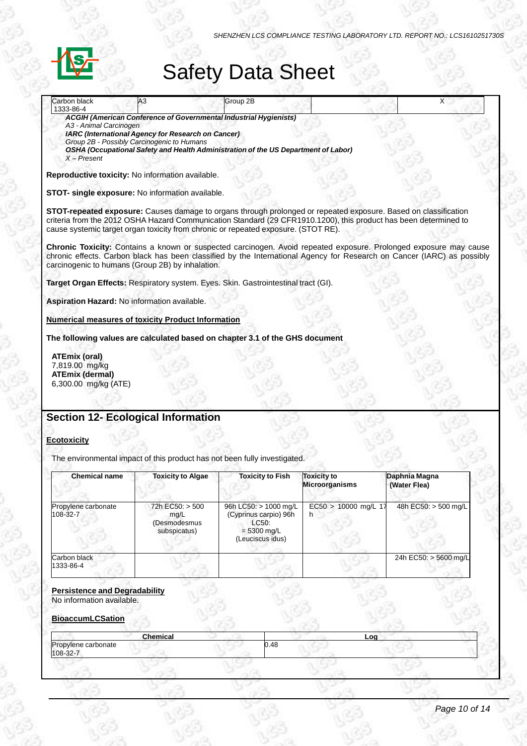

# Safety Data Sheet

| Carbon black<br>1333-86-4                                                                                                                                                                                                                                                                                                 | A3                                                                                                                                                                                                                                                                 | Group 2B                                   |                                             | X                                                                                                                                                                                                                                            |
|---------------------------------------------------------------------------------------------------------------------------------------------------------------------------------------------------------------------------------------------------------------------------------------------------------------------------|--------------------------------------------------------------------------------------------------------------------------------------------------------------------------------------------------------------------------------------------------------------------|--------------------------------------------|---------------------------------------------|----------------------------------------------------------------------------------------------------------------------------------------------------------------------------------------------------------------------------------------------|
| A3 - Animal Carcinogen<br>$X - Present$                                                                                                                                                                                                                                                                                   | <b>ACGIH (American Conference of Governmental Industrial Hygienists)</b><br>IARC (International Agency for Research on Cancer)<br>Group 2B - Possibly Carcinogenic to Humans<br>OSHA (Occupational Safety and Health Administration of the US Department of Labor) |                                            |                                             |                                                                                                                                                                                                                                              |
| Reproductive toxicity: No information available.                                                                                                                                                                                                                                                                          |                                                                                                                                                                                                                                                                    |                                            |                                             |                                                                                                                                                                                                                                              |
| STOT- single exposure: No information available.                                                                                                                                                                                                                                                                          |                                                                                                                                                                                                                                                                    |                                            |                                             |                                                                                                                                                                                                                                              |
| STOT-repeated exposure: Causes damage to organs through prolonged or repeated exposure. Based on classification<br>criteria from the 2012 OSHA Hazard Communication Standard (29 CFR1910.1200), this product has been determined to<br>cause systemic target organ toxicity from chronic or repeated exposure. (STOT RE). |                                                                                                                                                                                                                                                                    |                                            |                                             |                                                                                                                                                                                                                                              |
| carcinogenic to humans (Group 2B) by inhalation.                                                                                                                                                                                                                                                                          |                                                                                                                                                                                                                                                                    |                                            |                                             | Chronic Toxicity: Contains a known or suspected carcinogen. Avoid repeated exposure. Prolonged exposure may cause<br>chronic effects. Carbon black has been classified by the International Agency for Research on Cancer (IARC) as possibly |
| Target Organ Effects: Respiratory system. Eyes. Skin. Gastrointestinal tract (GI).                                                                                                                                                                                                                                        |                                                                                                                                                                                                                                                                    |                                            |                                             |                                                                                                                                                                                                                                              |
| Aspiration Hazard: No information available.                                                                                                                                                                                                                                                                              |                                                                                                                                                                                                                                                                    |                                            |                                             |                                                                                                                                                                                                                                              |
| <b>Numerical measures of toxicity Product Information</b>                                                                                                                                                                                                                                                                 |                                                                                                                                                                                                                                                                    |                                            |                                             |                                                                                                                                                                                                                                              |
| The following values are calculated based on chapter 3.1 of the GHS document                                                                                                                                                                                                                                              |                                                                                                                                                                                                                                                                    |                                            |                                             |                                                                                                                                                                                                                                              |
| <b>ATEmix (oral)</b><br>7,819.00 mg/kg<br><b>ATEmix (dermal)</b><br>6,300.00 mg/kg (ATE)                                                                                                                                                                                                                                  |                                                                                                                                                                                                                                                                    |                                            |                                             |                                                                                                                                                                                                                                              |
|                                                                                                                                                                                                                                                                                                                           |                                                                                                                                                                                                                                                                    |                                            |                                             |                                                                                                                                                                                                                                              |
| <b>Section 12- Ecological Information</b>                                                                                                                                                                                                                                                                                 |                                                                                                                                                                                                                                                                    |                                            |                                             |                                                                                                                                                                                                                                              |
| <b>Ecotoxicity</b>                                                                                                                                                                                                                                                                                                        |                                                                                                                                                                                                                                                                    |                                            |                                             |                                                                                                                                                                                                                                              |
| The environmental impact of this product has not been fully investigated.                                                                                                                                                                                                                                                 |                                                                                                                                                                                                                                                                    |                                            |                                             |                                                                                                                                                                                                                                              |
| <b>Chemical name</b>                                                                                                                                                                                                                                                                                                      | <b>Toxicity to Algae</b>                                                                                                                                                                                                                                           | <b>Toxicity to Fish</b>                    | <b>Toxicity to</b><br><b>Microorganisms</b> | Daphnia Magna<br>(Water Flea)                                                                                                                                                                                                                |
| Propylene carbonate<br><b>00 22 7</b>                                                                                                                                                                                                                                                                                     | 72h EC50: > 500<br>ma/l                                                                                                                                                                                                                                            | 96h LC50: > 1000 mg/L<br>(C, min, no, min) | EC50 > 10000 mg/L 17                        | 48h EC50: > 500 mg/L                                                                                                                                                                                                                         |

| <b>Chemical name</b>            | <b>Toxicity to Algae</b>                                | <b>Toxicity to Fish</b>                                                                      | <b>Toxicity to</b><br><b>Microorganisms</b> | Daphnia Magna<br>(Water Flea) |
|---------------------------------|---------------------------------------------------------|----------------------------------------------------------------------------------------------|---------------------------------------------|-------------------------------|
| Propylene carbonate<br>108-32-7 | 72h EC50: > 500<br>mq/L<br>(Desmodesmus<br>subspicatus) | 96h LC50: > 1000 mg/L<br>(Cyprinus carpio) 96h<br>LC50:<br>$= 5300$ mg/L<br>(Leuciscus idus) | $EC50 > 10000$ mg/L 17<br>h                 | 48h EC50: > 500 mg/L          |
| Carbon black<br>1333-86-4       |                                                         |                                                                                              |                                             | 24h EC50: > 5600 mg/L         |

## **Persistence and Degradability**

No information available.

# **BioaccumLCSation**

| <b>Chemical</b>                 | Log  |  |
|---------------------------------|------|--|
| Propylene carbonate<br>108-32-7 | 0.48 |  |
|                                 |      |  |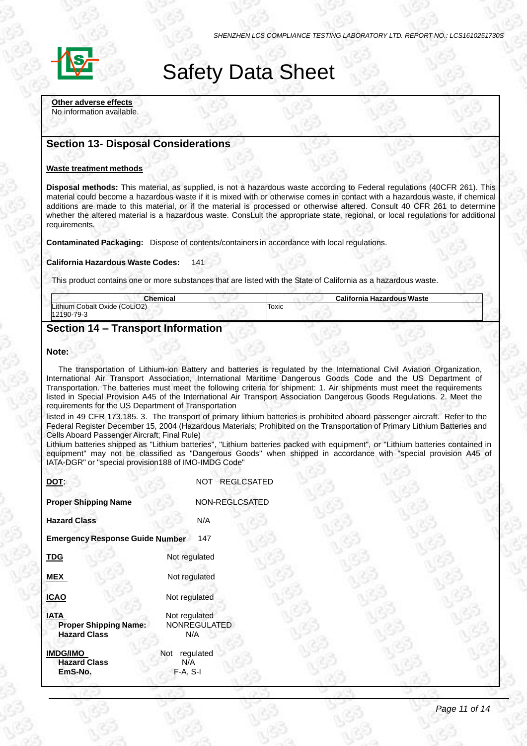

# Safety Data Sheet

**Other adverse effects** No information available.

# **Section 13- Disposal Considerations**

#### **Waste treatment methods**

**Disposal methods:** This material, as supplied, is not a hazardous waste according to Federal regulations (40CFR 261). This material could become a hazardous waste if it is mixed with or otherwise comes in contact with a hazardous waste, if chemical additions are made to this material, or if the material is processed or otherwise altered. Consult 40 CFR 261 to determine whether the altered material is a hazardous waste. ConsLult the appropriate state, regional, or local regulations for additional requirements.

**Contaminated Packaging:** Dispose of contents/containers in accordance with local regulations.

#### **California Hazardous Waste Codes:** 141

This product contains one or more substances that are listed with the State of California as a hazardous waste.

| Chemical                                    | California Hazardous Waste |  |
|---------------------------------------------|----------------------------|--|
| Lithium Cobalt Oxide (CoLiO2)<br>12190-79-3 | Toxic                      |  |

# **Section 14 – Transport Information**

#### **Note:**

The transportation of Lithium-ion Battery and batteries is regulated by the International Civil Aviation Organization, International Air Transport Association, International Maritime Dangerous Goods Code and the US Department of Transportation. The batteries must meet the following criteria for shipment: 1. Air shipments must meet the requirements listed in Special Provision A45 of the International Air Transport Association Dangerous Goods Regulations. 2. Meet the requirements for the US Department of Transportation

listed in 49 CFR 173.185. 3. The transport of primary lithium batteries is prohibited aboard passenger aircraft. Refer to the Federal Register December 15, 2004 (Hazardous Materials; Prohibited on the Transportation of Primary Lithium Batteries and Cells Aboard Passenger Aircraft; Final Rule)

Lithium batteries shipped as "Lithium batteries", "Lithium batteries packed with equipment", or "Lithium batteries contained in equipment" may not be classified as "Dangerous Goods" when shipped in accordance with "special provision A45 of IATA-DGR" or "special provision188 of IMO-IMDG Code"

| DOT:                                                               | NOT REGLCSATED                       |
|--------------------------------------------------------------------|--------------------------------------|
| <b>Proper Shipping Name</b>                                        | NON-REGLCSATED                       |
| <b>Hazard Class</b>                                                | N/A                                  |
| <b>Emergency Response Guide Number</b>                             | 147                                  |
| <b>TDG</b>                                                         | Not regulated                        |
| <b>MEX</b>                                                         | Not regulated                        |
| <b>ICAO</b>                                                        | Not regulated                        |
| <b>IATA</b><br><b>Proper Shipping Name:</b><br><b>Hazard Class</b> | Not regulated<br>NONREGULATED<br>N/A |
| <b>IMDG/IMO</b><br><b>Hazard Class</b>                             | Not<br>regulated<br>N/A              |
| EmS-No.                                                            | $F-A, S-I$                           |
|                                                                    |                                      |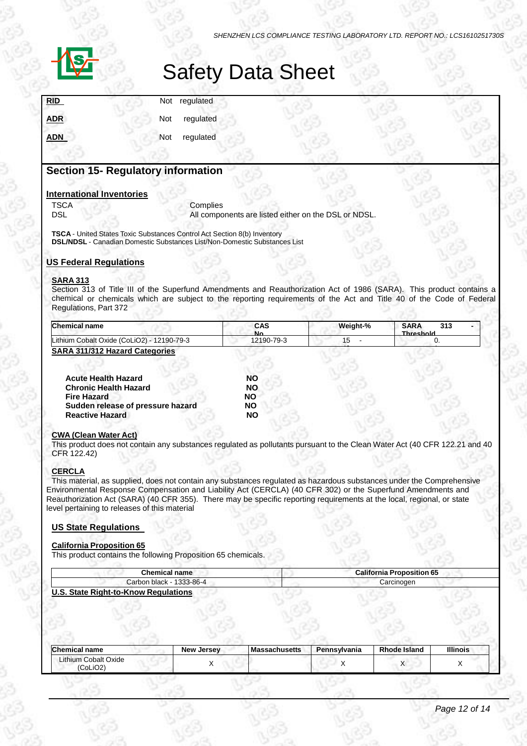

# Safety Data Sheet

|  | Not regulated<br>Not regulated<br>Not regulated |
|--|-------------------------------------------------|

# **Section 15- Regulatory information**

#### **International Inventories**

TSCA Complies<br>DSL All compo All components are listed either on the DSL or NDSL.

**TSCA** - United States Toxic Substances Control Act Section 8(b) Inventory **DSL/NDSL** - Canadian Domestic Substances List/Non-Domestic Substances List

### **US Federal Regulations**

### **SARA 313**

Section 313 of Title III of the Superfund Amendments and Reauthorization Act of 1986 (SARA). This product contains a chemical or chemicals which are subject to the reporting requirements of the Act and Title 40 of the Code of Federal Regulations, Part 372

| Chemical name                              | CAS<br>N٥  | Weight-% | <b>SARA</b><br>313<br>Throchold |  |
|--------------------------------------------|------------|----------|---------------------------------|--|
| Lithium Cobalt Oxide (CoLiO2) - 12190-79-3 | 12190-79-3 |          |                                 |  |
| <b>SARA 311/312 Hazard Categories</b>      |            |          |                                 |  |

| <b>Acute Health Hazard</b>        | <b>NO</b> |
|-----------------------------------|-----------|
| <b>Chronic Health Hazard</b>      | <b>NO</b> |
| <b>Fire Hazard</b>                | <b>NO</b> |
| Sudden release of pressure hazard | <b>NO</b> |
| <b>Reactive Hazard</b>            | NΟ        |

#### **CWA (Clean Water Act)**

This product does not contain any substances regulated as pollutants pursuant to the Clean Water Act (40 CFR 122.21 and 40 CFR 122.42)

### **CERCLA**

This material, as supplied, does not contain any substances regulated as hazardous substances under the Comprehensive Environmental Response Compensation and Liability Act (CERCLA) (40 CFR 302) or the Superfund Amendments and Reauthorization Act (SARA) (40 CFR 355). There may be specific reporting requirements at the local, regional, or state level pertaining to releases of this material

### **US State Regulations**

#### **California Proposition 65**

This product contains the following Proposition 65 chemicals.

| <b>Chemical name</b>          | California<br>roposition 65 |
|-------------------------------|-----------------------------|
| 1333-86-4<br>شarbon.<br>black | Carcinoger                  |
|                               |                             |

### **U.S. State Right-to-Know Regulations**

| <b>Chemical name</b>             | <b>New Jersey</b> | <b>Massachusetts</b> | Pennsylvania | Rhode Island | <b>Illinois</b> |
|----------------------------------|-------------------|----------------------|--------------|--------------|-----------------|
| Lithium Cobalt Oxide<br>(CoLiO2) |                   |                      |              |              |                 |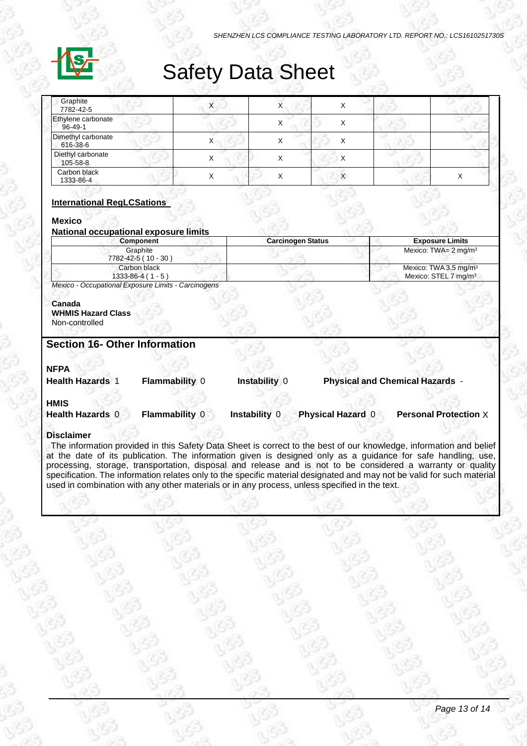

# Safety Data Sheet

| Graphite<br>7782-42-5               |  |  |  |
|-------------------------------------|--|--|--|
| Ethylene carbonate<br>$96 - 49 - 1$ |  |  |  |
| Dimethyl carbonate<br>616-38-6      |  |  |  |
| Diethyl carbonate<br>105-58-8       |  |  |  |
| Carbon black<br>1333-86-4           |  |  |  |

### **International RegLCSations**

### **Mexico**

| National occupational exposure limits |    |  |
|---------------------------------------|----|--|
| Component                             | Сa |  |

| Component                              | <b>Carcinogen Status</b> | <b>Exposure Limits</b>                                                |
|----------------------------------------|--------------------------|-----------------------------------------------------------------------|
| Graphite<br>7782-42-5 (10 - 30)        |                          | Mexico: TWA= $2 \text{ mg/m}^3$                                       |
| Carbon black<br>$1333 - 86 - 4(1 - 5)$ |                          | Mexico: TWA 3.5 mg/m <sup>3</sup><br>Mexico: STEL 7 mg/m <sup>3</sup> |

*Mexico - Occupational Exposure Limits - Carcinogens*

#### **Canada WHMIS Hazard Class**

Non-controlled

# **Section 16- Other Information**

## **NFPA**

| <b>Health Hazards</b> | <b>Flammability 0</b> | Instability 0 | <b>Physical and Chemical Hazards</b> |
|-----------------------|-----------------------|---------------|--------------------------------------|
|                       |                       |               |                                      |

**HMIS Health Hazards** 0 **Flammability** 0 **Instability** 0 **Physical Hazard** 0 **Personal Protection** X

### **Disclaimer**

The information provided in this Safety Data Sheet is correct to the best of our knowledge, information and belief at the date of its publication. The information given is designed only as a guidance for safe handling, use, processing, storage, transportation, disposal and release and is not to be considered a warranty or quality specification. The information relates only to the specific material designated and may not be valid for such material used in combination with any other materials or in any process, unless specified in the text.